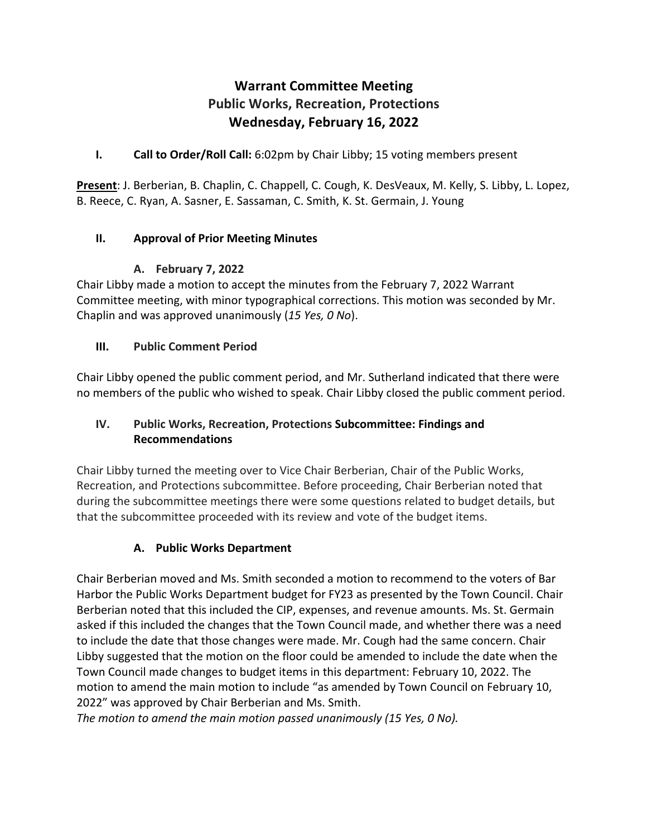# **Warrant Committee Meeting Public Works, Recreation, Protections Wednesday, February 16, 2022**

### **I. Call to Order/Roll Call:** 6:02pm by Chair Libby; 15 voting members present

**Present**: J. Berberian, B. Chaplin, C. Chappell, C. Cough, K. DesVeaux, M. Kelly, S. Libby, L. Lopez, B. Reece, C. Ryan, A. Sasner, E. Sassaman, C. Smith, K. St. Germain, J. Young

#### **II. Approval of Prior Meeting Minutes**

#### **A. February 7, 2022**

Chair Libby made a motion to accept the minutes from the February 7, 2022 Warrant Committee meeting, with minor typographical corrections. This motion was seconded by Mr. Chaplin and was approved unanimously (*15 Yes, 0 No*).

#### **III. Public Comment Period**

Chair Libby opened the public comment period, and Mr. Sutherland indicated that there were no members of the public who wished to speak. Chair Libby closed the public comment period.

#### **IV. Public Works, Recreation, Protections Subcommittee: Findings and Recommendations**

Chair Libby turned the meeting over to Vice Chair Berberian, Chair of the Public Works, Recreation, and Protections subcommittee. Before proceeding, Chair Berberian noted that during the subcommittee meetings there were some questions related to budget details, but that the subcommittee proceeded with its review and vote of the budget items.

# **A. Public Works Department**

Chair Berberian moved and Ms. Smith seconded a motion to recommend to the voters of Bar Harbor the Public Works Department budget for FY23 as presented by the Town Council. Chair Berberian noted that this included the CIP, expenses, and revenue amounts. Ms. St. Germain asked if this included the changes that the Town Council made, and whether there was a need to include the date that those changes were made. Mr. Cough had the same concern. Chair Libby suggested that the motion on the floor could be amended to include the date when the Town Council made changes to budget items in this department: February 10, 2022. The motion to amend the main motion to include "as amended by Town Council on February 10, 2022" was approved by Chair Berberian and Ms. Smith.

*The motion to amend the main motion passed unanimously (15 Yes, 0 No).*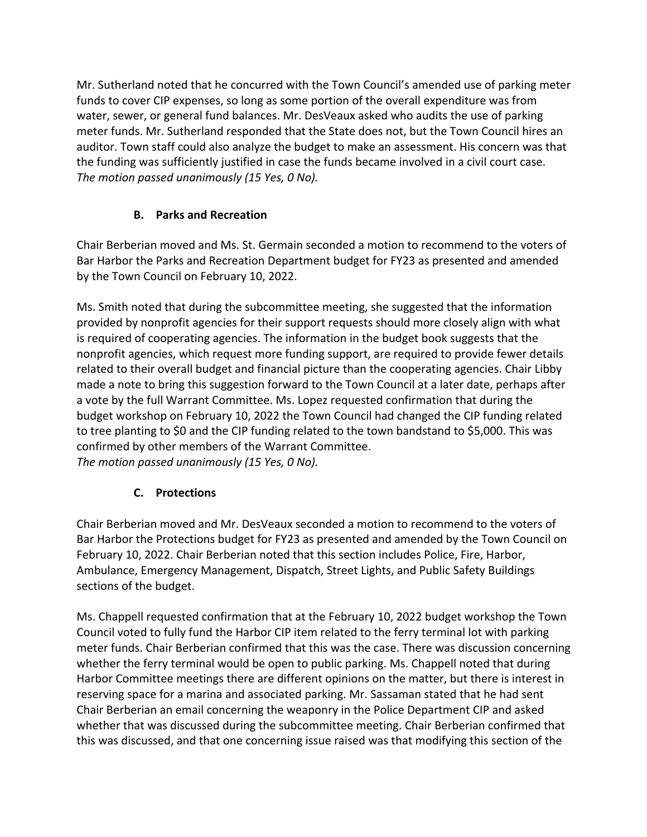Mr. Sutherland noted that he concurred with the Town Council's amended use of parking meter funds to cover CIP expenses, so long as some portion of the overall expenditure was from water, sewer, or general fund balances. Mr. DesVeaux asked who audits the use of parking meter funds. Mr. Sutherland responded that the State does not, but the Town Council hires an auditor. Town staff could also analyze the budget to make an assessment. His concern was that the funding was sufficiently justified in case the funds became involved in a civil court case. *The motion passed unanimously (15 Yes, 0 No).*

# **B. Parks and Recreation**

Chair Berberian moved and Ms. St. Germain seconded a motion to recommend to the voters of Bar Harbor the Parks and Recreation Department budget for FY23 as presented and amended by the Town Council on February 10, 2022.

Ms. Smith noted that during the subcommittee meeting, she suggested that the information provided by nonprofit agencies for their support requests should more closely align with what is required of cooperating agencies. The information in the budget book suggests that the nonprofit agencies, which request more funding support, are required to provide fewer details related to their overall budget and financial picture than the cooperating agencies. Chair Libby made a note to bring this suggestion forward to the Town Council at a later date, perhaps after a vote by the full Warrant Committee. Ms. Lopez requested confirmation that during the budget workshop on February 10, 2022 the Town Council had changed the CIP funding related to tree planting to \$0 and the CIP funding related to the town bandstand to \$5,000. This was confirmed by other members of the Warrant Committee. *The motion passed unanimously (15 Yes, 0 No).*

# **C. Protections**

Chair Berberian moved and Mr. DesVeaux seconded a motion to recommend to the voters of Bar Harbor the Protections budget for FY23 as presented and amended by the Town Council on February 10, 2022. Chair Berberian noted that this section includes Police, Fire, Harbor, Ambulance, Emergency Management, Dispatch, Street Lights, and Public Safety Buildings sections of the budget.

Ms. Chappell requested confirmation that at the February 10, 2022 budget workshop the Town Council voted to fully fund the Harbor CIP item related to the ferry terminal lot with parking meter funds. Chair Berberian confirmed that this was the case. There was discussion concerning whether the ferry terminal would be open to public parking. Ms. Chappell noted that during Harbor Committee meetings there are different opinions on the matter, but there is interest in reserving space for a marina and associated parking. Mr. Sassaman stated that he had sent Chair Berberian an email concerning the weaponry in the Police Department CIP and asked whether that was discussed during the subcommittee meeting. Chair Berberian confirmed that this was discussed, and that one concerning issue raised was that modifying this section of the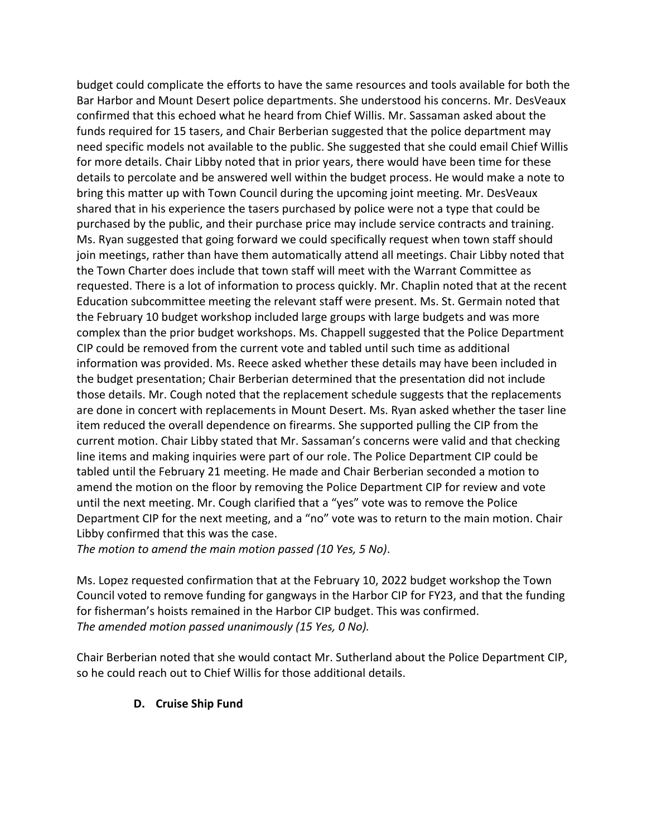budget could complicate the efforts to have the same resources and tools available for both the Bar Harbor and Mount Desert police departments. She understood his concerns. Mr. DesVeaux confirmed that this echoed what he heard from Chief Willis. Mr. Sassaman asked about the funds required for 15 tasers, and Chair Berberian suggested that the police department may need specific models not available to the public. She suggested that she could email Chief Willis for more details. Chair Libby noted that in prior years, there would have been time for these details to percolate and be answered well within the budget process. He would make a note to bring this matter up with Town Council during the upcoming joint meeting. Mr. DesVeaux shared that in his experience the tasers purchased by police were not a type that could be purchased by the public, and their purchase price may include service contracts and training. Ms. Ryan suggested that going forward we could specifically request when town staff should join meetings, rather than have them automatically attend all meetings. Chair Libby noted that the Town Charter does include that town staff will meet with the Warrant Committee as requested. There is a lot of information to process quickly. Mr. Chaplin noted that at the recent Education subcommittee meeting the relevant staff were present. Ms. St. Germain noted that the February 10 budget workshop included large groups with large budgets and was more complex than the prior budget workshops. Ms. Chappell suggested that the Police Department CIP could be removed from the current vote and tabled until such time as additional information was provided. Ms. Reece asked whether these details may have been included in the budget presentation; Chair Berberian determined that the presentation did not include those details. Mr. Cough noted that the replacement schedule suggests that the replacements are done in concert with replacements in Mount Desert. Ms. Ryan asked whether the taser line item reduced the overall dependence on firearms. She supported pulling the CIP from the current motion. Chair Libby stated that Mr. Sassaman's concerns were valid and that checking line items and making inquiries were part of our role. The Police Department CIP could be tabled until the February 21 meeting. He made and Chair Berberian seconded a motion to amend the motion on the floor by removing the Police Department CIP for review and vote until the next meeting. Mr. Cough clarified that a "yes" vote was to remove the Police Department CIP for the next meeting, and a "no" vote was to return to the main motion. Chair Libby confirmed that this was the case.

*The motion to amend the main motion passed (10 Yes, 5 No)*.

Ms. Lopez requested confirmation that at the February 10, 2022 budget workshop the Town Council voted to remove funding for gangways in the Harbor CIP for FY23, and that the funding for fisherman's hoists remained in the Harbor CIP budget. This was confirmed. *The amended motion passed unanimously (15 Yes, 0 No).*

Chair Berberian noted that she would contact Mr. Sutherland about the Police Department CIP, so he could reach out to Chief Willis for those additional details.

#### **D. Cruise Ship Fund**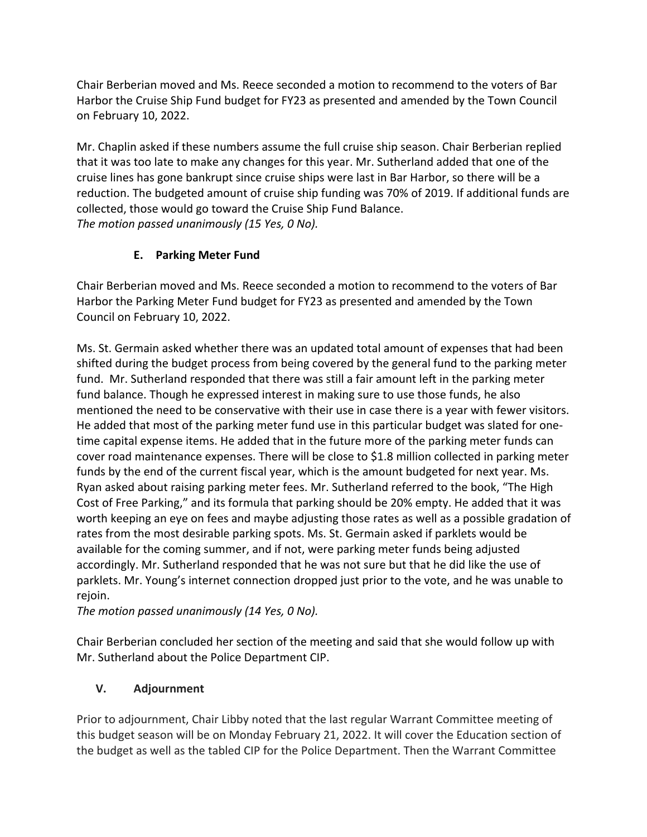Chair Berberian moved and Ms. Reece seconded a motion to recommend to the voters of Bar Harbor the Cruise Ship Fund budget for FY23 as presented and amended by the Town Council on February 10, 2022.

Mr. Chaplin asked if these numbers assume the full cruise ship season. Chair Berberian replied that it was too late to make any changes for this year. Mr. Sutherland added that one of the cruise lines has gone bankrupt since cruise ships were last in Bar Harbor, so there will be a reduction. The budgeted amount of cruise ship funding was 70% of 2019. If additional funds are collected, those would go toward the Cruise Ship Fund Balance. *The motion passed unanimously (15 Yes, 0 No).*

# **E. Parking Meter Fund**

Chair Berberian moved and Ms. Reece seconded a motion to recommend to the voters of Bar Harbor the Parking Meter Fund budget for FY23 as presented and amended by the Town Council on February 10, 2022.

Ms. St. Germain asked whether there was an updated total amount of expenses that had been shifted during the budget process from being covered by the general fund to the parking meter fund. Mr. Sutherland responded that there was still a fair amount left in the parking meter fund balance. Though he expressed interest in making sure to use those funds, he also mentioned the need to be conservative with their use in case there is a year with fewer visitors. He added that most of the parking meter fund use in this particular budget was slated for onetime capital expense items. He added that in the future more of the parking meter funds can cover road maintenance expenses. There will be close to \$1.8 million collected in parking meter funds by the end of the current fiscal year, which is the amount budgeted for next year. Ms. Ryan asked about raising parking meter fees. Mr. Sutherland referred to the book, "The High Cost of Free Parking," and its formula that parking should be 20% empty. He added that it was worth keeping an eye on fees and maybe adjusting those rates as well as a possible gradation of rates from the most desirable parking spots. Ms. St. Germain asked if parklets would be available for the coming summer, and if not, were parking meter funds being adjusted accordingly. Mr. Sutherland responded that he was not sure but that he did like the use of parklets. Mr. Young's internet connection dropped just prior to the vote, and he was unable to rejoin.

*The motion passed unanimously (14 Yes, 0 No).* 

Chair Berberian concluded her section of the meeting and said that she would follow up with Mr. Sutherland about the Police Department CIP.

# **V. Adjournment**

Prior to adjournment, Chair Libby noted that the last regular Warrant Committee meeting of this budget season will be on Monday February 21, 2022. It will cover the Education section of the budget as well as the tabled CIP for the Police Department. Then the Warrant Committee